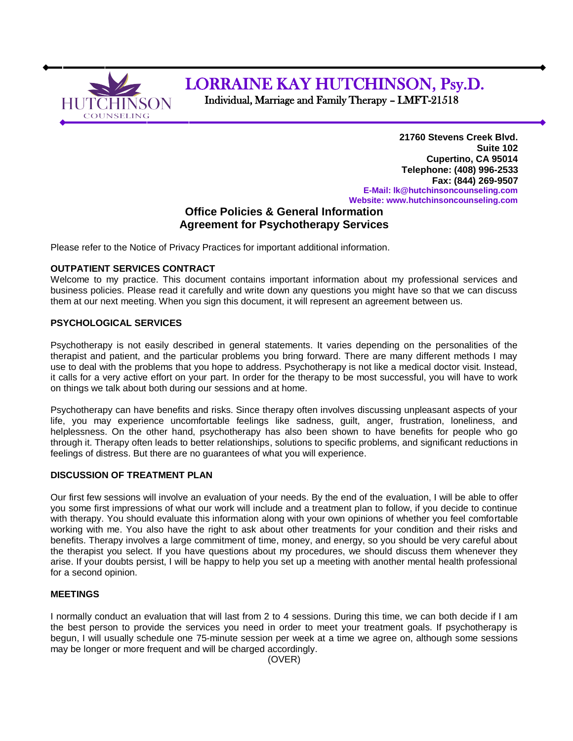

# LORRAINE KAY HUTCHINSON, Psy.D.

Individual, Marriage and Family Therapy – LMFT-21518

**21760 Stevens Creek Blvd. Suite 102 Cupertino, CA 95014 Telephone: (408) 996-2533 Fax: (844) 269-9507 E-Mail[: lk@hutchinsoncounseling.com](mailto:lk@hutchinsoncounseling.com) Website: [www.hutchinsoncounseling.com](http://www.hutchinsoncounseling.com/)**

## **Office Policies & General Information Agreement for Psychotherapy Services**

Please refer to the Notice of Privacy Practices for important additional information.

## **OUTPATIENT SERVICES CONTRACT**

Welcome to my practice. This document contains important information about my professional services and business policies. Please read it carefully and write down any questions you might have so that we can discuss them at our next meeting. When you sign this document, it will represent an agreement between us.

## **PSYCHOLOGICAL SERVICES**

Psychotherapy is not easily described in general statements. It varies depending on the personalities of the therapist and patient, and the particular problems you bring forward. There are many different methods I may use to deal with the problems that you hope to address. Psychotherapy is not like a medical doctor visit. Instead, it calls for a very active effort on your part. In order for the therapy to be most successful, you will have to work on things we talk about both during our sessions and at home.

Psychotherapy can have benefits and risks. Since therapy often involves discussing unpleasant aspects of your life, you may experience uncomfortable feelings like sadness, guilt, anger, frustration, loneliness, and helplessness. On the other hand, psychotherapy has also been shown to have benefits for people who go through it. Therapy often leads to better relationships, solutions to specific problems, and significant reductions in feelings of distress. But there are no guarantees of what you will experience.

## **DISCUSSION OF TREATMENT PLAN**

Our first few sessions will involve an evaluation of your needs. By the end of the evaluation, I will be able to offer you some first impressions of what our work will include and a treatment plan to follow, if you decide to continue with therapy. You should evaluate this information along with your own opinions of whether you feel comfortable working with me. You also have the right to ask about other treatments for your condition and their risks and benefits. Therapy involves a large commitment of time, money, and energy, so you should be very careful about the therapist you select. If you have questions about my procedures, we should discuss them whenever they arise. If your doubts persist, I will be happy to help you set up a meeting with another mental health professional for a second opinion.

## **MEETINGS**

I normally conduct an evaluation that will last from 2 to 4 sessions. During this time, we can both decide if I am the best person to provide the services you need in order to meet your treatment goals. If psychotherapy is begun, I will usually schedule one 75-minute session per week at a time we agree on, although some sessions may be longer or more frequent and will be charged accordingly.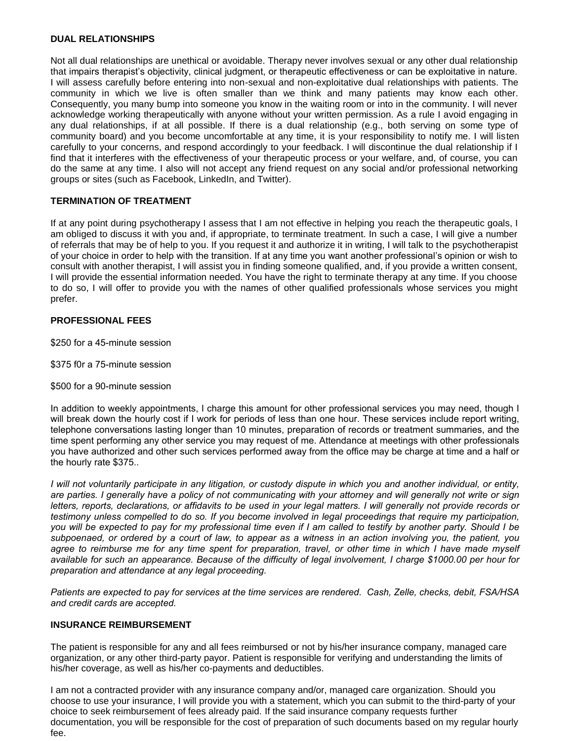## **DUAL RELATIONSHIPS**

Not all dual relationships are unethical or avoidable. Therapy never involves sexual or any other dual relationship that impairs therapist's objectivity, clinical judgment, or therapeutic effectiveness or can be exploitative in nature. I will assess carefully before entering into non-sexual and non-exploitative dual relationships with patients. The community in which we live is often smaller than we think and many patients may know each other. Consequently, you many bump into someone you know in the waiting room or into in the community. I will never acknowledge working therapeutically with anyone without your written permission. As a rule I avoid engaging in any dual relationships, if at all possible. If there is a dual relationship (e.g., both serving on some type of community board) and you become uncomfortable at any time, it is your responsibility to notify me. I will listen carefully to your concerns, and respond accordingly to your feedback. I will discontinue the dual relationship if I find that it interferes with the effectiveness of your therapeutic process or your welfare, and, of course, you can do the same at any time. I also will not accept any friend request on any social and/or professional networking groups or sites (such as Facebook, LinkedIn, and Twitter).

## **TERMINATION OF TREATMENT**

If at any point during psychotherapy I assess that I am not effective in helping you reach the therapeutic goals, I am obliged to discuss it with you and, if appropriate, to terminate treatment. In such a case, I will give a number of referrals that may be of help to you. If you request it and authorize it in writing, I will talk to the psychotherapist of your choice in order to help with the transition. If at any time you want another professional's opinion or wish to consult with another therapist, I will assist you in finding someone qualified, and, if you provide a written consent, I will provide the essential information needed. You have the right to terminate therapy at any time. If you choose to do so, I will offer to provide you with the names of other qualified professionals whose services you might prefer.

## **PROFESSIONAL FEES**

- \$250 for a 45-minute session
- \$375 f0r a 75-minute session
- \$500 for a 90-minute session

In addition to weekly appointments, I charge this amount for other professional services you may need, though I will break down the hourly cost if I work for periods of less than one hour. These services include report writing, telephone conversations lasting longer than 10 minutes, preparation of records or treatment summaries, and the time spent performing any other service you may request of me. Attendance at meetings with other professionals you have authorized and other such services performed away from the office may be charge at time and a half or the hourly rate \$375..

*I will not voluntarily participate in any litigation, or custody dispute in which you and another individual, or entity, are parties. I generally have a policy of not communicating with your attorney and will generally not write or sign letters, reports, declarations, or affidavits to be used in your legal matters. I will generally not provide records or testimony unless compelled to do so. If you become involved in legal proceedings that require my participation, you will be expected to pay for my professional time even if I am called to testify by another party. Should I be subpoenaed, or ordered by a court of law, to appear as a witness in an action involving you, the patient, you agree to reimburse me for any time spent for preparation, travel, or other time in which I have made myself available for such an appearance. Because of the difficulty of legal involvement, I charge \$1000.00 per hour for preparation and attendance at any legal proceeding.*

*Patients are expected to pay for services at the time services are rendered. Cash, Zelle, checks, debit, FSA/HSA and credit cards are accepted.*

## **INSURANCE REIMBURSEMENT**

The patient is responsible for any and all fees reimbursed or not by his/her insurance company, managed care organization, or any other third-party payor. Patient is responsible for verifying and understanding the limits of his/her coverage, as well as his/her co-payments and deductibles.

I am not a contracted provider with any insurance company and/or, managed care organization. Should you choose to use your insurance, I will provide you with a statement, which you can submit to the third-party of your choice to seek reimbursement of fees already paid. If the said insurance company requests further documentation, you will be responsible for the cost of preparation of such documents based on my regular hourly fee.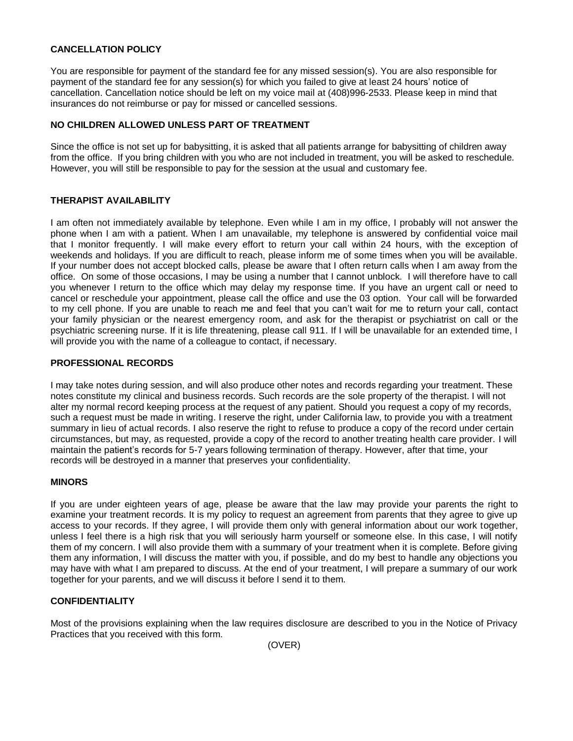## **CANCELLATION POLICY**

You are responsible for payment of the standard fee for any missed session(s). You are also responsible for payment of the standard fee for any session(s) for which you failed to give at least 24 hours' notice of cancellation. Cancellation notice should be left on my voice mail at (408)996-2533. Please keep in mind that insurances do not reimburse or pay for missed or cancelled sessions.

## **NO CHILDREN ALLOWED UNLESS PART OF TREATMENT**

Since the office is not set up for babysitting, it is asked that all patients arrange for babysitting of children away from the office. If you bring children with you who are not included in treatment, you will be asked to reschedule. However, you will still be responsible to pay for the session at the usual and customary fee.

## **THERAPIST AVAILABILITY**

I am often not immediately available by telephone. Even while I am in my office, I probably will not answer the phone when I am with a patient. When I am unavailable, my telephone is answered by confidential voice mail that I monitor frequently. I will make every effort to return your call within 24 hours, with the exception of weekends and holidays. If you are difficult to reach, please inform me of some times when you will be available. If your number does not accept blocked calls, please be aware that I often return calls when I am away from the office. On some of those occasions, I may be using a number that I cannot unblock. I will therefore have to call you whenever I return to the office which may delay my response time. If you have an urgent call or need to cancel or reschedule your appointment, please call the office and use the 03 option. Your call will be forwarded to my cell phone. If you are unable to reach me and feel that you can't wait for me to return your call, contact your family physician or the nearest emergency room, and ask for the therapist or psychiatrist on call or the psychiatric screening nurse. If it is life threatening, please call 911. If I will be unavailable for an extended time, I will provide you with the name of a colleague to contact, if necessary.

## **PROFESSIONAL RECORDS**

I may take notes during session, and will also produce other notes and records regarding your treatment. These notes constitute my clinical and business records. Such records are the sole property of the therapist. I will not alter my normal record keeping process at the request of any patient. Should you request a copy of my records, such a request must be made in writing. I reserve the right, under California law, to provide you with a treatment summary in lieu of actual records. I also reserve the right to refuse to produce a copy of the record under certain circumstances, but may, as requested, provide a copy of the record to another treating health care provider. I will maintain the patient's records for 5-7 years following termination of therapy. However, after that time, your records will be destroyed in a manner that preserves your confidentiality.

## **MINORS**

If you are under eighteen years of age, please be aware that the law may provide your parents the right to examine your treatment records. It is my policy to request an agreement from parents that they agree to give up access to your records. If they agree, I will provide them only with general information about our work together, unless I feel there is a high risk that you will seriously harm yourself or someone else. In this case, I will notify them of my concern. I will also provide them with a summary of your treatment when it is complete. Before giving them any information, I will discuss the matter with you, if possible, and do my best to handle any objections you may have with what I am prepared to discuss. At the end of your treatment, I will prepare a summary of our work together for your parents, and we will discuss it before I send it to them.

## **CONFIDENTIALITY**

Most of the provisions explaining when the law requires disclosure are described to you in the Notice of Privacy Practices that you received with this form.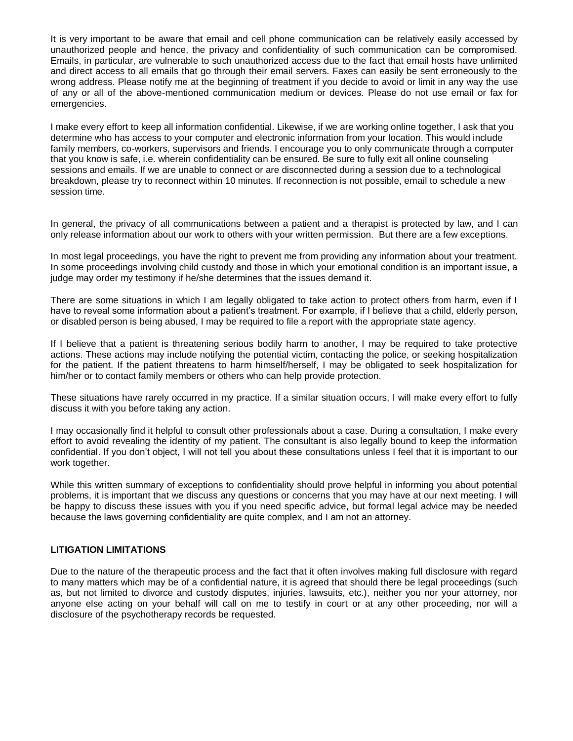It is very important to be aware that email and cell phone communication can be relatively easily accessed by unauthorized people and hence, the privacy and confidentiality of such communication can be compromised. Emails, in particular, are vulnerable to such unauthorized access due to the fact that email hosts have unlimited and direct access to all emails that go through their email servers. Faxes can easily be sent erroneously to the wrong address. Please notify me at the beginning of treatment if you decide to avoid or limit in any way the use of any or all of the above-mentioned communication medium or devices. Please do not use email or fax for emergencies.

I make every effort to keep all information confidential. Likewise, if we are working online together, I ask that you determine who has access to your computer and electronic information from your location. This would include family members, co-workers, supervisors and friends. I encourage you to only communicate through a computer that you know is safe, i.e. wherein confidentiality can be ensured. Be sure to fully exit all online counseling sessions and emails. If we are unable to connect or are disconnected during a session due to a technological breakdown, please try to reconnect within 10 minutes. If reconnection is not possible, email to schedule a new session time.

In general, the privacy of all communications between a patient and a therapist is protected by law, and I can only release information about our work to others with your written permission. But there are a few exceptions.

In most legal proceedings, you have the right to prevent me from providing any information about your treatment. In some proceedings involving child custody and those in which your emotional condition is an important issue, a judge may order my testimony if he/she determines that the issues demand it.

There are some situations in which I am legally obligated to take action to protect others from harm, even if I have to reveal some information about a patient's treatment. For example, if I believe that a child, elderly person, or disabled person is being abused, I may be required to file a report with the appropriate state agency.

If I believe that a patient is threatening serious bodily harm to another, I may be required to take protective actions. These actions may include notifying the potential victim, contacting the police, or seeking hospitalization for the patient. If the patient threatens to harm himself/herself, I may be obligated to seek hospitalization for him/her or to contact family members or others who can help provide protection.

These situations have rarely occurred in my practice. If a similar situation occurs, I will make every effort to fully discuss it with you before taking any action.

I may occasionally find it helpful to consult other professionals about a case. During a consultation, I make every effort to avoid revealing the identity of my patient. The consultant is also legally bound to keep the information confidential. If you don't object, I will not tell you about these consultations unless I feel that it is important to our work together.

While this written summary of exceptions to confidentiality should prove helpful in informing you about potential problems, it is important that we discuss any questions or concerns that you may have at our next meeting. I will be happy to discuss these issues with you if you need specific advice, but formal legal advice may be needed because the laws governing confidentiality are quite complex, and I am not an attorney.

## **LITIGATION LIMITATIONS**

Due to the nature of the therapeutic process and the fact that it often involves making full disclosure with regard to many matters which may be of a confidential nature, it is agreed that should there be legal proceedings (such as, but not limited to divorce and custody disputes, injuries, lawsuits, etc.), neither you nor your attorney, nor anyone else acting on your behalf will call on me to testify in court or at any other proceeding, nor will a disclosure of the psychotherapy records be requested.